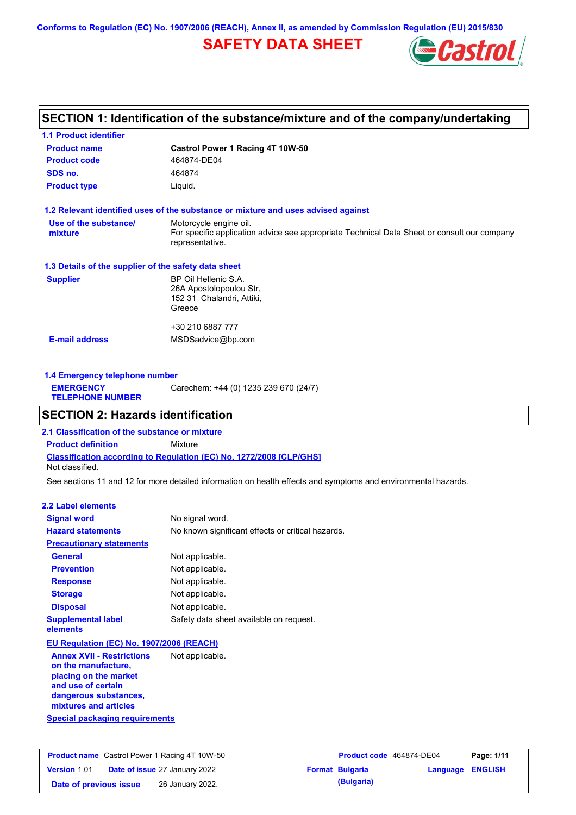**Conforms to Regulation (EC) No. 1907/2006 (REACH), Annex II, as amended by Commission Regulation (EU) 2015/830**

# **SAFETY DATA SHEET**



### **SECTION 1: Identification of the substance/mixture and of the company/undertaking**

| <b>1.1 Product identifier</b>                        |                                                                                                                |
|------------------------------------------------------|----------------------------------------------------------------------------------------------------------------|
| <b>Product name</b>                                  | Castrol Power 1 Racing 4T 10W-50                                                                               |
| <b>Product code</b>                                  | 464874-DE04                                                                                                    |
| SDS no.                                              | 464874                                                                                                         |
| <b>Product type</b>                                  | Liquid.                                                                                                        |
|                                                      | 1.2 Relevant identified uses of the substance or mixture and uses advised against                              |
| Use of the substance/                                | Motorcycle engine oil.                                                                                         |
| mixture                                              | For specific application advice see appropriate Technical Data Sheet or consult our company<br>representative. |
| 1.3 Details of the supplier of the safety data sheet |                                                                                                                |
| <b>Supplier</b>                                      | BP Oil Hellenic S.A.                                                                                           |
|                                                      | 26A Apostolopoulou Str,                                                                                        |
|                                                      | 152 31 Chalandri, Attiki,                                                                                      |
|                                                      | Greece                                                                                                         |
|                                                      | +30 210 6887 777                                                                                               |
| <b>E-mail address</b>                                | MSDSadvice@bp.com                                                                                              |
|                                                      |                                                                                                                |
|                                                      |                                                                                                                |

| Carechem: +44 (0) 1235 239 670 (24/7)<br><b>EMERGENCY</b><br><b>TELEPHONE NUMBER</b> | 1.4 Emergency telephone number |  |  |  |  |
|--------------------------------------------------------------------------------------|--------------------------------|--|--|--|--|
|                                                                                      |                                |  |  |  |  |

### **SECTION 2: Hazards identification**

**Classification according to Regulation (EC) No. 1272/2008 [CLP/GHS] 2.1 Classification of the substance or mixture Product definition** Mixture Not classified.

See sections 11 and 12 for more detailed information on health effects and symptoms and environmental hazards.

### **2.2 Label elements**

| <b>Signal word</b>                                                                                  | No signal word.                                   |
|-----------------------------------------------------------------------------------------------------|---------------------------------------------------|
| <b>Hazard statements</b>                                                                            | No known significant effects or critical hazards. |
| <b>Precautionary statements</b>                                                                     |                                                   |
| <b>General</b>                                                                                      | Not applicable.                                   |
| <b>Prevention</b>                                                                                   | Not applicable.                                   |
| <b>Response</b>                                                                                     | Not applicable.                                   |
| <b>Storage</b>                                                                                      | Not applicable.                                   |
| <b>Disposal</b>                                                                                     | Not applicable.                                   |
| <b>Supplemental label</b><br>elements                                                               | Safety data sheet available on request.           |
| EU Regulation (EC) No. 1907/2006 (REACH)                                                            |                                                   |
| <b>Annex XVII - Restrictions</b><br>on the manufacture,<br>a bara ta san a sa 14 ba a san a shekara | Not applicable.                                   |

**placing on the market and use of certain dangerous substances, mixtures and articles**

**Special packaging requirements**

| <b>Product name</b> Castrol Power 1 Racing 4T 10W-50 |  |                                      | Product code 464874-DE04 | Page: 1/11             |                         |  |
|------------------------------------------------------|--|--------------------------------------|--------------------------|------------------------|-------------------------|--|
| <b>Version 1.01</b>                                  |  | <b>Date of issue 27 January 2022</b> |                          | <b>Format Bulgaria</b> | <b>Language ENGLISH</b> |  |
| Date of previous issue                               |  | 26 January 2022.                     |                          | (Bulgaria)             |                         |  |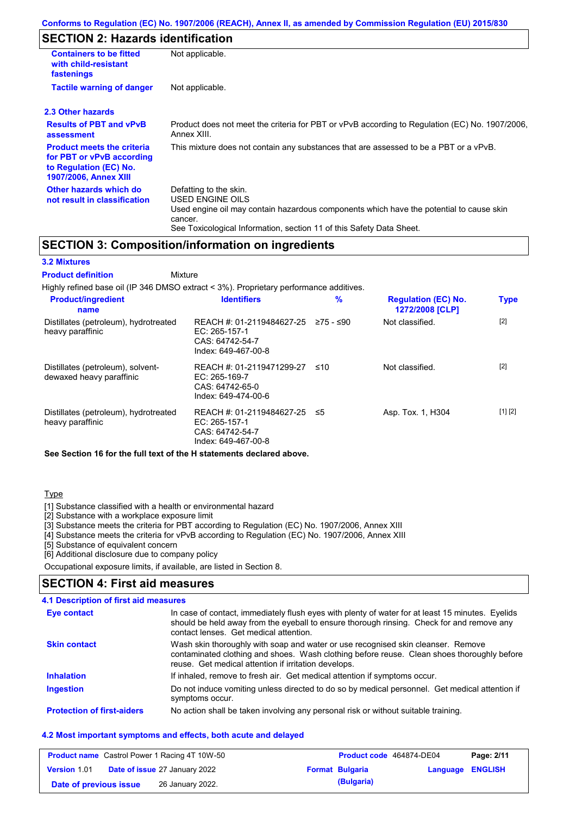# **SECTION 2: Hazards identification**

| <b>Containers to be fitted</b><br>with child-resistant<br>fastenings                                                     | Not applicable.                                                                                                                                                                                                          |
|--------------------------------------------------------------------------------------------------------------------------|--------------------------------------------------------------------------------------------------------------------------------------------------------------------------------------------------------------------------|
| <b>Tactile warning of danger</b>                                                                                         | Not applicable.                                                                                                                                                                                                          |
| 2.3 Other hazards                                                                                                        |                                                                                                                                                                                                                          |
| <b>Results of PBT and vPvB</b><br>assessment                                                                             | Product does not meet the criteria for PBT or vPvB according to Regulation (EC) No. 1907/2006,<br>Annex XIII.                                                                                                            |
| <b>Product meets the criteria</b><br>for PBT or vPvB according<br>to Regulation (EC) No.<br><b>1907/2006, Annex XIII</b> | This mixture does not contain any substances that are assessed to be a PBT or a vPvB.                                                                                                                                    |
| Other hazards which do<br>not result in classification                                                                   | Defatting to the skin.<br>USED ENGINE OILS<br>Used engine oil may contain hazardous components which have the potential to cause skin<br>cancer.<br>See Toxicological Information, section 11 of this Safety Data Sheet. |

### **SECTION 3: Composition/information on ingredients**

**Mixture** 

#### **3.2 Mixtures**

**Product definition**

| Highly refined base oil (IP 346 DMSO extract < 3%). Proprietary performance additives. |                                                                                        |           |                                               |             |
|----------------------------------------------------------------------------------------|----------------------------------------------------------------------------------------|-----------|-----------------------------------------------|-------------|
| <b>Product/ingredient</b><br>name                                                      | <b>Identifiers</b>                                                                     | $\%$      | <b>Regulation (EC) No.</b><br>1272/2008 [CLP] | <b>Type</b> |
| Distillates (petroleum), hydrotreated<br>heavy paraffinic                              | REACH #: 01-2119484627-25<br>EC: 265-157-1<br>CAS: 64742-54-7<br>Index: 649-467-00-8   | ≥75 - ≤90 | Not classified.                               | $[2]$       |
| Distillates (petroleum), solvent-<br>dewaxed heavy paraffinic                          | REACH #: 01-2119471299-27<br>EC: $265-169-7$<br>CAS: 64742-65-0<br>Index: 649-474-00-6 | ≤10       | Not classified.                               | $[2]$       |
| Distillates (petroleum), hydrotreated<br>heavy paraffinic                              | REACH #: 01-2119484627-25<br>EC: 265-157-1<br>CAS: 64742-54-7<br>Index: 649-467-00-8   | ≤5        | Asp. Tox. 1, H304                             | [1] [2]     |

**See Section 16 for the full text of the H statements declared above.**

### Type

[1] Substance classified with a health or environmental hazard

[2] Substance with a workplace exposure limit

[3] Substance meets the criteria for PBT according to Regulation (EC) No. 1907/2006, Annex XIII

[4] Substance meets the criteria for vPvB according to Regulation (EC) No. 1907/2006, Annex XIII

[5] Substance of equivalent concern

[6] Additional disclosure due to company policy

Occupational exposure limits, if available, are listed in Section 8.

### **SECTION 4: First aid measures**

### **4.1 Description of first aid measures**

| Eye contact                       | In case of contact, immediately flush eyes with plenty of water for at least 15 minutes. Eyelids<br>should be held away from the eyeball to ensure thorough rinsing. Check for and remove any<br>contact lenses. Get medical attention. |
|-----------------------------------|-----------------------------------------------------------------------------------------------------------------------------------------------------------------------------------------------------------------------------------------|
| <b>Skin contact</b>               | Wash skin thoroughly with soap and water or use recognised skin cleanser. Remove<br>contaminated clothing and shoes. Wash clothing before reuse. Clean shoes thoroughly before<br>reuse. Get medical attention if irritation develops.  |
| <b>Inhalation</b>                 | If inhaled, remove to fresh air. Get medical attention if symptoms occur.                                                                                                                                                               |
| <b>Ingestion</b>                  | Do not induce vomiting unless directed to do so by medical personnel. Get medical attention if<br>symptoms occur.                                                                                                                       |
| <b>Protection of first-aiders</b> | No action shall be taken involving any personal risk or without suitable training.                                                                                                                                                      |

#### **4.2 Most important symptoms and effects, both acute and delayed**

| <b>Product name</b> Castrol Power 1 Racing 4T 10W-50 |  |                                      | Product code 464874-DE04 | Page: 2/11             |                  |  |
|------------------------------------------------------|--|--------------------------------------|--------------------------|------------------------|------------------|--|
| <b>Version 1.01</b>                                  |  | <b>Date of issue 27 January 2022</b> |                          | <b>Format Bulgaria</b> | Language ENGLISH |  |
| Date of previous issue                               |  | 26 January 2022.                     |                          | (Bulgaria)             |                  |  |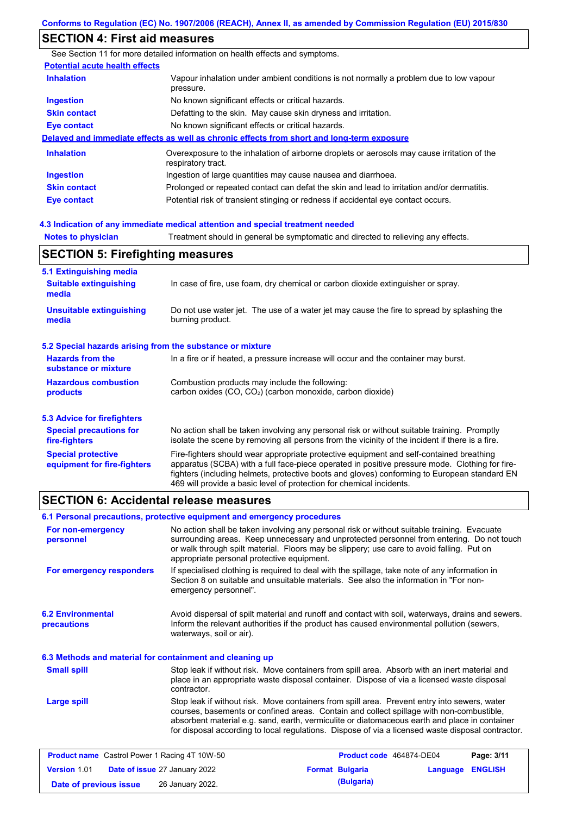# **SECTION 4: First aid measures**

|                                       | See Section 11 for more detailed information on health effects and symptoms.                                      |
|---------------------------------------|-------------------------------------------------------------------------------------------------------------------|
| <b>Potential acute health effects</b> |                                                                                                                   |
| <b>Inhalation</b>                     | Vapour inhalation under ambient conditions is not normally a problem due to low vapour<br>pressure.               |
| <b>Ingestion</b>                      | No known significant effects or critical hazards.                                                                 |
| <b>Skin contact</b>                   | Defatting to the skin. May cause skin dryness and irritation.                                                     |
| <b>Eye contact</b>                    | No known significant effects or critical hazards.                                                                 |
|                                       | Delayed and immediate effects as well as chronic effects from short and long-term exposure                        |
| <b>Inhalation</b>                     | Overexposure to the inhalation of airborne droplets or aerosols may cause irritation of the<br>respiratory tract. |
| <b>Ingestion</b>                      | Ingestion of large quantities may cause nausea and diarrhoea.                                                     |
| <b>Skin contact</b>                   | Prolonged or repeated contact can defat the skin and lead to irritation and/or dermatitis.                        |
| Eye contact                           | Potential risk of transient stinging or redness if accidental eye contact occurs.                                 |
|                                       |                                                                                                                   |
|                                       | habaan tramteart leigang bare noitnatte legiham ateihammi yne to noitegihnl ? h                                   |

### **4.3 Indication of any immediate medical attention and special treatment needed**

**Notes to physician** Treatment should in general be symptomatic and directed to relieving any effects.

# **SECTION 5: Firefighting measures**

| 5.1 Extinguishing media                                   |                                                                                                                                                                                                                                                                                                                                                                   |
|-----------------------------------------------------------|-------------------------------------------------------------------------------------------------------------------------------------------------------------------------------------------------------------------------------------------------------------------------------------------------------------------------------------------------------------------|
| <b>Suitable extinguishing</b><br>media                    | In case of fire, use foam, dry chemical or carbon dioxide extinguisher or spray.                                                                                                                                                                                                                                                                                  |
| <b>Unsuitable extinguishing</b><br>media                  | Do not use water jet. The use of a water jet may cause the fire to spread by splashing the<br>burning product.                                                                                                                                                                                                                                                    |
| 5.2 Special hazards arising from the substance or mixture |                                                                                                                                                                                                                                                                                                                                                                   |
| <b>Hazards from the</b><br>substance or mixture           | In a fire or if heated, a pressure increase will occur and the container may burst.                                                                                                                                                                                                                                                                               |
| <b>Hazardous combustion</b><br>products                   | Combustion products may include the following:<br>carbon oxides $(CO, CO2)$ (carbon monoxide, carbon dioxide)                                                                                                                                                                                                                                                     |
| 5.3 Advice for firefighters                               |                                                                                                                                                                                                                                                                                                                                                                   |
| <b>Special precautions for</b><br>fire-fighters           | No action shall be taken involving any personal risk or without suitable training. Promptly<br>isolate the scene by removing all persons from the vicinity of the incident if there is a fire.                                                                                                                                                                    |
| <b>Special protective</b><br>equipment for fire-fighters  | Fire-fighters should wear appropriate protective equipment and self-contained breathing<br>apparatus (SCBA) with a full face-piece operated in positive pressure mode. Clothing for fire-<br>fighters (including helmets, protective boots and gloves) conforming to European standard EN<br>469 will provide a basic level of protection for chemical incidents. |

### **SECTION 6: Accidental release measures**

|                                                                                                                                                                                                                                                                                                                                                                       | 6.1 Personal precautions, protective equipment and emergency procedures                                                                                                                                                                                                                                                                                                                        |  |  |
|-----------------------------------------------------------------------------------------------------------------------------------------------------------------------------------------------------------------------------------------------------------------------------------------------------------------------------------------------------------------------|------------------------------------------------------------------------------------------------------------------------------------------------------------------------------------------------------------------------------------------------------------------------------------------------------------------------------------------------------------------------------------------------|--|--|
| No action shall be taken involving any personal risk or without suitable training. Evacuate<br>For non-emergency<br>surrounding areas. Keep unnecessary and unprotected personnel from entering. Do not touch<br>personnel<br>or walk through spilt material. Floors may be slippery; use care to avoid falling. Put on<br>appropriate personal protective equipment. |                                                                                                                                                                                                                                                                                                                                                                                                |  |  |
| For emergency responders                                                                                                                                                                                                                                                                                                                                              | If specialised clothing is required to deal with the spillage, take note of any information in<br>Section 8 on suitable and unsuitable materials. See also the information in "For non-<br>emergency personnel".                                                                                                                                                                               |  |  |
| <b>6.2 Environmental</b><br>precautions                                                                                                                                                                                                                                                                                                                               | Avoid dispersal of spilt material and runoff and contact with soil, waterways, drains and sewers.<br>Inform the relevant authorities if the product has caused environmental pollution (sewers,<br>waterways, soil or air).                                                                                                                                                                    |  |  |
| 6.3 Methods and material for containment and cleaning up                                                                                                                                                                                                                                                                                                              |                                                                                                                                                                                                                                                                                                                                                                                                |  |  |
| <b>Small spill</b>                                                                                                                                                                                                                                                                                                                                                    | Stop leak if without risk. Move containers from spill area. Absorb with an inert material and<br>place in an appropriate waste disposal container. Dispose of via a licensed waste disposal<br>contractor.                                                                                                                                                                                     |  |  |
| Large spill                                                                                                                                                                                                                                                                                                                                                           | Stop leak if without risk. Move containers from spill area. Prevent entry into sewers, water<br>courses, basements or confined areas. Contain and collect spillage with non-combustible,<br>absorbent material e.g. sand, earth, vermiculite or diatomaceous earth and place in container<br>for disposal according to local regulations. Dispose of via a licensed waste disposal contractor. |  |  |
|                                                                                                                                                                                                                                                                                                                                                                       |                                                                                                                                                                                                                                                                                                                                                                                                |  |  |

| <b>Product name</b> Castrol Power 1 Racing 4T 10W-50 |  | Product code 464874-DE04             | Page: 3/11 |                        |                  |  |
|------------------------------------------------------|--|--------------------------------------|------------|------------------------|------------------|--|
| <b>Version 1.01</b>                                  |  | <b>Date of issue 27 January 2022</b> |            | <b>Format Bulgaria</b> | Language ENGLISH |  |
| Date of previous issue                               |  | 26 January 2022.                     |            | (Bulgaria)             |                  |  |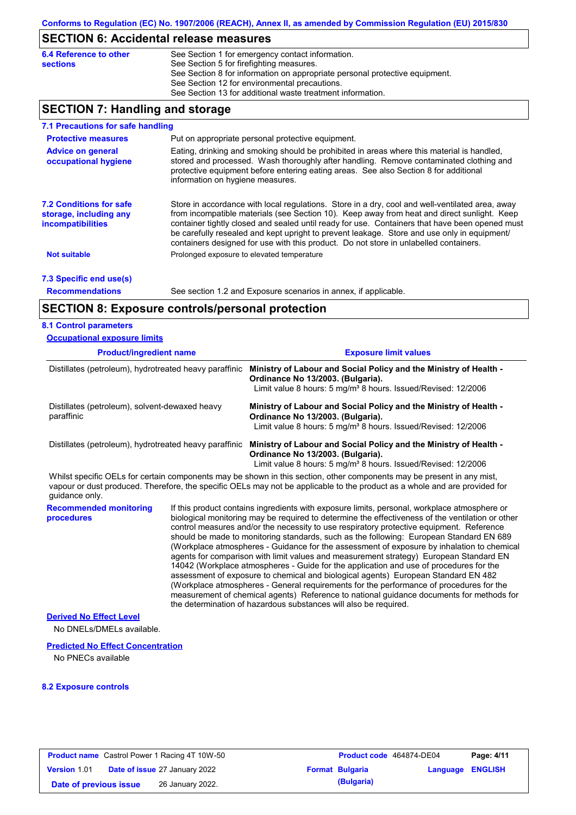# **SECTION 6: Accidental release measures**

| 6.4 Reference to other | See Section 1 for emergency contact information.                            |
|------------------------|-----------------------------------------------------------------------------|
| <b>sections</b>        | See Section 5 for firefighting measures.                                    |
|                        | See Section 8 for information on appropriate personal protective equipment. |
|                        | See Section 12 for environmental precautions.                               |
|                        | See Section 13 for additional waste treatment information.                  |

# **SECTION 7: Handling and storage**

| 7.1 Precautions for safe handling                                             |                                                                                                                                                                                                                                                                                                                                                                                                                                                                                          |
|-------------------------------------------------------------------------------|------------------------------------------------------------------------------------------------------------------------------------------------------------------------------------------------------------------------------------------------------------------------------------------------------------------------------------------------------------------------------------------------------------------------------------------------------------------------------------------|
| <b>Protective measures</b>                                                    | Put on appropriate personal protective equipment.                                                                                                                                                                                                                                                                                                                                                                                                                                        |
| <b>Advice on general</b><br>occupational hygiene                              | Eating, drinking and smoking should be prohibited in areas where this material is handled,<br>stored and processed. Wash thoroughly after handling. Remove contaminated clothing and<br>protective equipment before entering eating areas. See also Section 8 for additional<br>information on hygiene measures.                                                                                                                                                                         |
| <b>7.2 Conditions for safe</b><br>storage, including any<br>incompatibilities | Store in accordance with local requlations. Store in a dry, cool and well-ventilated area, away<br>from incompatible materials (see Section 10). Keep away from heat and direct sunlight. Keep<br>container tightly closed and sealed until ready for use. Containers that have been opened must<br>be carefully resealed and kept upright to prevent leakage. Store and use only in equipment/<br>containers designed for use with this product. Do not store in unlabelled containers. |
| <b>Not suitable</b>                                                           | Prolonged exposure to elevated temperature                                                                                                                                                                                                                                                                                                                                                                                                                                               |
| 7.3 Specific end use(s)                                                       |                                                                                                                                                                                                                                                                                                                                                                                                                                                                                          |
| <b>Recommendations</b>                                                        | See section 1.2 and Exposure scenarios in annex, if applicable.                                                                                                                                                                                                                                                                                                                                                                                                                          |

# **SECTION 8: Exposure controls/personal protection**

### **8.1 Control parameters**

| <b>Occupational exposure limits</b>                                                                                    |  |                                                                                                                                                                                                                                                                                                                                                                                                                                                                                                                                                                                                                                                                                                                                                                                                                                                                                                                                                                                                                            |  |  |  |
|------------------------------------------------------------------------------------------------------------------------|--|----------------------------------------------------------------------------------------------------------------------------------------------------------------------------------------------------------------------------------------------------------------------------------------------------------------------------------------------------------------------------------------------------------------------------------------------------------------------------------------------------------------------------------------------------------------------------------------------------------------------------------------------------------------------------------------------------------------------------------------------------------------------------------------------------------------------------------------------------------------------------------------------------------------------------------------------------------------------------------------------------------------------------|--|--|--|
| <b>Product/ingredient name</b>                                                                                         |  | <b>Exposure limit values</b>                                                                                                                                                                                                                                                                                                                                                                                                                                                                                                                                                                                                                                                                                                                                                                                                                                                                                                                                                                                               |  |  |  |
| Distillates (petroleum), hydrotreated heavy paraffinic<br>Distillates (petroleum), solvent-dewaxed heavy<br>paraffinic |  | Ministry of Labour and Social Policy and the Ministry of Health -<br>Ordinance No 13/2003. (Bulgaria).<br>Limit value 8 hours: 5 mg/m <sup>3</sup> 8 hours. Issued/Revised: 12/2006                                                                                                                                                                                                                                                                                                                                                                                                                                                                                                                                                                                                                                                                                                                                                                                                                                        |  |  |  |
|                                                                                                                        |  | Ministry of Labour and Social Policy and the Ministry of Health -<br>Ordinance No 13/2003. (Bulgaria).<br>Limit value 8 hours: 5 mg/m <sup>3</sup> 8 hours. Issued/Revised: 12/2006                                                                                                                                                                                                                                                                                                                                                                                                                                                                                                                                                                                                                                                                                                                                                                                                                                        |  |  |  |
| Distillates (petroleum), hydrotreated heavy paraffinic                                                                 |  | Ministry of Labour and Social Policy and the Ministry of Health -<br>Ordinance No 13/2003. (Bulgaria).<br>Limit value 8 hours: 5 mg/m <sup>3</sup> 8 hours. Issued/Revised: 12/2006                                                                                                                                                                                                                                                                                                                                                                                                                                                                                                                                                                                                                                                                                                                                                                                                                                        |  |  |  |
| guidance only.                                                                                                         |  | Whilst specific OELs for certain components may be shown in this section, other components may be present in any mist,<br>vapour or dust produced. Therefore, the specific OELs may not be applicable to the product as a whole and are provided for                                                                                                                                                                                                                                                                                                                                                                                                                                                                                                                                                                                                                                                                                                                                                                       |  |  |  |
| <b>Recommended monitoring</b><br>procedures                                                                            |  | If this product contains ingredients with exposure limits, personal, workplace atmosphere or<br>biological monitoring may be required to determine the effectiveness of the ventilation or other<br>control measures and/or the necessity to use respiratory protective equipment. Reference<br>should be made to monitoring standards, such as the following: European Standard EN 689<br>(Workplace atmospheres - Guidance for the assessment of exposure by inhalation to chemical<br>agents for comparison with limit values and measurement strategy) European Standard EN<br>14042 (Workplace atmospheres - Guide for the application and use of procedures for the<br>assessment of exposure to chemical and biological agents) European Standard EN 482<br>(Workplace atmospheres - General requirements for the performance of procedures for the<br>measurement of chemical agents) Reference to national guidance documents for methods for<br>the determination of hazardous substances will also be required. |  |  |  |
| <b>Derived No Effect Level</b><br>No DNELs/DMELs available.                                                            |  |                                                                                                                                                                                                                                                                                                                                                                                                                                                                                                                                                                                                                                                                                                                                                                                                                                                                                                                                                                                                                            |  |  |  |
| <b>Predicted No Effect Concentration</b>                                                                               |  |                                                                                                                                                                                                                                                                                                                                                                                                                                                                                                                                                                                                                                                                                                                                                                                                                                                                                                                                                                                                                            |  |  |  |
| No PNECs available                                                                                                     |  |                                                                                                                                                                                                                                                                                                                                                                                                                                                                                                                                                                                                                                                                                                                                                                                                                                                                                                                                                                                                                            |  |  |  |

#### **8.2 Exposure controls**

| <b>Product name</b> Castrol Power 1 Racing 4T 10W-50 |  |                                      | <b>Product code</b> 464874-DE04 | Page: 4/11             |                  |  |
|------------------------------------------------------|--|--------------------------------------|---------------------------------|------------------------|------------------|--|
| <b>Version 101</b>                                   |  | <b>Date of issue 27 January 2022</b> |                                 | <b>Format Bulgaria</b> | Language ENGLISH |  |
| Date of previous issue                               |  | 26 January 2022.                     |                                 | (Bulgaria)             |                  |  |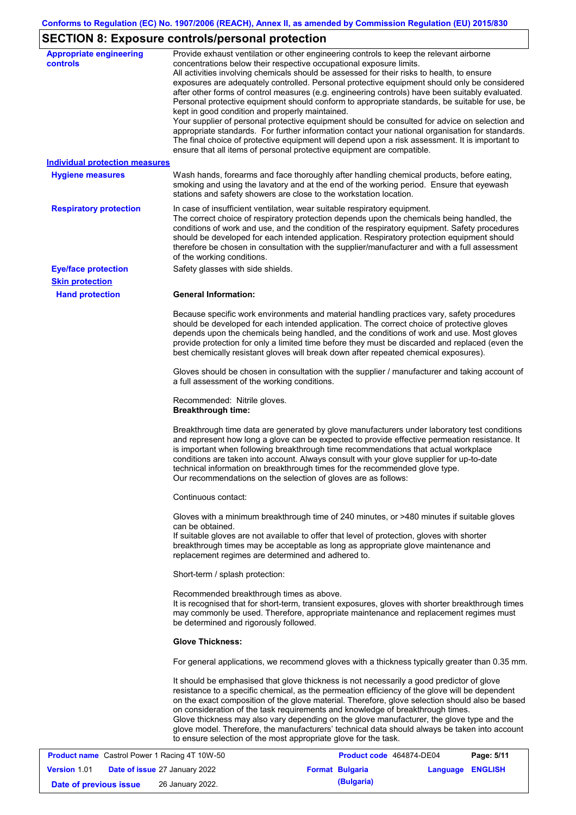# **SECTION 8: Exposure controls/personal protection**

| <b>Appropriate engineering</b><br>controls | Provide exhaust ventilation or other engineering controls to keep the relevant airborne<br>concentrations below their respective occupational exposure limits.<br>All activities involving chemicals should be assessed for their risks to health, to ensure<br>exposures are adequately controlled. Personal protective equipment should only be considered<br>after other forms of control measures (e.g. engineering controls) have been suitably evaluated.<br>Personal protective equipment should conform to appropriate standards, be suitable for use, be<br>kept in good condition and properly maintained.<br>Your supplier of personal protective equipment should be consulted for advice on selection and<br>appropriate standards. For further information contact your national organisation for standards.<br>The final choice of protective equipment will depend upon a risk assessment. It is important to<br>ensure that all items of personal protective equipment are compatible. |
|--------------------------------------------|---------------------------------------------------------------------------------------------------------------------------------------------------------------------------------------------------------------------------------------------------------------------------------------------------------------------------------------------------------------------------------------------------------------------------------------------------------------------------------------------------------------------------------------------------------------------------------------------------------------------------------------------------------------------------------------------------------------------------------------------------------------------------------------------------------------------------------------------------------------------------------------------------------------------------------------------------------------------------------------------------------|
| <b>Individual protection measures</b>      |                                                                                                                                                                                                                                                                                                                                                                                                                                                                                                                                                                                                                                                                                                                                                                                                                                                                                                                                                                                                         |
| <b>Hygiene measures</b>                    | Wash hands, forearms and face thoroughly after handling chemical products, before eating,<br>smoking and using the lavatory and at the end of the working period. Ensure that eyewash<br>stations and safety showers are close to the workstation location.                                                                                                                                                                                                                                                                                                                                                                                                                                                                                                                                                                                                                                                                                                                                             |
| <b>Respiratory protection</b>              | In case of insufficient ventilation, wear suitable respiratory equipment.<br>The correct choice of respiratory protection depends upon the chemicals being handled, the<br>conditions of work and use, and the condition of the respiratory equipment. Safety procedures<br>should be developed for each intended application. Respiratory protection equipment should<br>therefore be chosen in consultation with the supplier/manufacturer and with a full assessment<br>of the working conditions.                                                                                                                                                                                                                                                                                                                                                                                                                                                                                                   |
| <b>Eye/face protection</b>                 | Safety glasses with side shields.                                                                                                                                                                                                                                                                                                                                                                                                                                                                                                                                                                                                                                                                                                                                                                                                                                                                                                                                                                       |
| <b>Skin protection</b>                     |                                                                                                                                                                                                                                                                                                                                                                                                                                                                                                                                                                                                                                                                                                                                                                                                                                                                                                                                                                                                         |
| <b>Hand protection</b>                     | <b>General Information:</b>                                                                                                                                                                                                                                                                                                                                                                                                                                                                                                                                                                                                                                                                                                                                                                                                                                                                                                                                                                             |
|                                            | Because specific work environments and material handling practices vary, safety procedures<br>should be developed for each intended application. The correct choice of protective gloves<br>depends upon the chemicals being handled, and the conditions of work and use. Most gloves<br>provide protection for only a limited time before they must be discarded and replaced (even the<br>best chemically resistant gloves will break down after repeated chemical exposures).                                                                                                                                                                                                                                                                                                                                                                                                                                                                                                                        |
|                                            | Gloves should be chosen in consultation with the supplier / manufacturer and taking account of<br>a full assessment of the working conditions.                                                                                                                                                                                                                                                                                                                                                                                                                                                                                                                                                                                                                                                                                                                                                                                                                                                          |
|                                            | Recommended: Nitrile gloves.<br><b>Breakthrough time:</b>                                                                                                                                                                                                                                                                                                                                                                                                                                                                                                                                                                                                                                                                                                                                                                                                                                                                                                                                               |
|                                            | Breakthrough time data are generated by glove manufacturers under laboratory test conditions<br>and represent how long a glove can be expected to provide effective permeation resistance. It<br>is important when following breakthrough time recommendations that actual workplace<br>conditions are taken into account. Always consult with your glove supplier for up-to-date<br>technical information on breakthrough times for the recommended glove type.<br>Our recommendations on the selection of gloves are as follows:                                                                                                                                                                                                                                                                                                                                                                                                                                                                      |
|                                            | Continuous contact:                                                                                                                                                                                                                                                                                                                                                                                                                                                                                                                                                                                                                                                                                                                                                                                                                                                                                                                                                                                     |
|                                            | Gloves with a minimum breakthrough time of 240 minutes, or >480 minutes if suitable gloves<br>can be obtained.<br>If suitable gloves are not available to offer that level of protection, gloves with shorter<br>breakthrough times may be acceptable as long as appropriate glove maintenance and<br>replacement regimes are determined and adhered to.                                                                                                                                                                                                                                                                                                                                                                                                                                                                                                                                                                                                                                                |
|                                            | Short-term / splash protection:                                                                                                                                                                                                                                                                                                                                                                                                                                                                                                                                                                                                                                                                                                                                                                                                                                                                                                                                                                         |
|                                            | Recommended breakthrough times as above.<br>It is recognised that for short-term, transient exposures, gloves with shorter breakthrough times<br>may commonly be used. Therefore, appropriate maintenance and replacement regimes must<br>be determined and rigorously followed.                                                                                                                                                                                                                                                                                                                                                                                                                                                                                                                                                                                                                                                                                                                        |
|                                            | <b>Glove Thickness:</b>                                                                                                                                                                                                                                                                                                                                                                                                                                                                                                                                                                                                                                                                                                                                                                                                                                                                                                                                                                                 |
|                                            | For general applications, we recommend gloves with a thickness typically greater than 0.35 mm.                                                                                                                                                                                                                                                                                                                                                                                                                                                                                                                                                                                                                                                                                                                                                                                                                                                                                                          |
|                                            | It should be emphasised that glove thickness is not necessarily a good predictor of glove<br>resistance to a specific chemical, as the permeation efficiency of the glove will be dependent<br>on the exact composition of the glove material. Therefore, glove selection should also be based<br>on consideration of the task requirements and knowledge of breakthrough times.<br>Glove thickness may also vary depending on the glove manufacturer, the glove type and the<br>glove model. Therefore, the manufacturers' technical data should always be taken into account<br>to ensure selection of the most appropriate glove for the task.                                                                                                                                                                                                                                                                                                                                                       |
| Coetrol Dower 1 Poeing 4T 1014 50          | Dao: E/44<br><b>Droduct code</b> 464974 DE04                                                                                                                                                                                                                                                                                                                                                                                                                                                                                                                                                                                                                                                                                                                                                                                                                                                                                                                                                            |

| <b>Product name</b> Castrol Power 1 Racing 4T 10W-50 |  |                                      | Product code 464874-DE04 | Page: 5/11             |                         |  |
|------------------------------------------------------|--|--------------------------------------|--------------------------|------------------------|-------------------------|--|
| <b>Version 1.01</b>                                  |  | <b>Date of issue 27 January 2022</b> |                          | <b>Format Bulgaria</b> | <b>Language ENGLISH</b> |  |
| Date of previous issue                               |  | 26 January 2022.                     |                          | (Bulgaria)             |                         |  |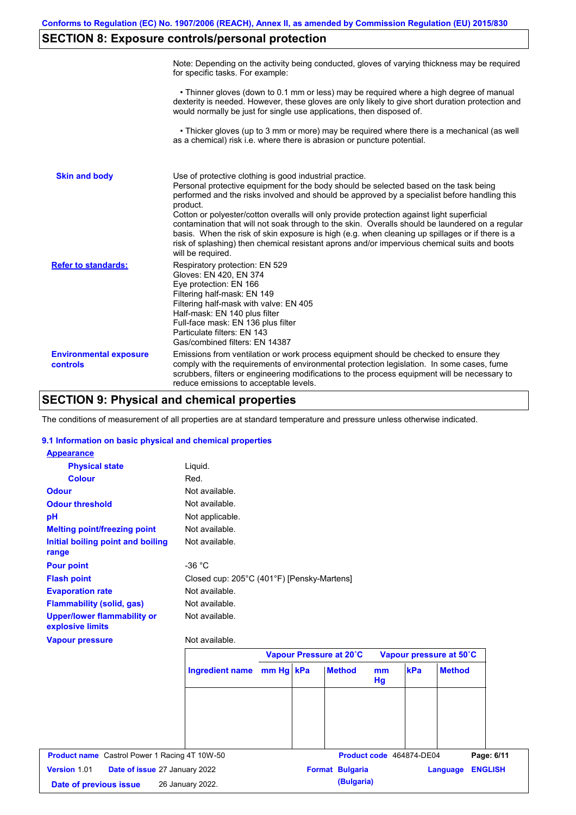# **SECTION 8: Exposure controls/personal protection**

|                                           | Note: Depending on the activity being conducted, gloves of varying thickness may be required<br>for specific tasks. For example:                                                                                                                                                                                                                                                                                                                                                                                                                                                                                                                                                      |
|-------------------------------------------|---------------------------------------------------------------------------------------------------------------------------------------------------------------------------------------------------------------------------------------------------------------------------------------------------------------------------------------------------------------------------------------------------------------------------------------------------------------------------------------------------------------------------------------------------------------------------------------------------------------------------------------------------------------------------------------|
|                                           | • Thinner gloves (down to 0.1 mm or less) may be required where a high degree of manual<br>dexterity is needed. However, these gloves are only likely to give short duration protection and<br>would normally be just for single use applications, then disposed of.                                                                                                                                                                                                                                                                                                                                                                                                                  |
|                                           | • Thicker gloves (up to 3 mm or more) may be required where there is a mechanical (as well<br>as a chemical) risk i.e. where there is abrasion or puncture potential.                                                                                                                                                                                                                                                                                                                                                                                                                                                                                                                 |
| <b>Skin and body</b>                      | Use of protective clothing is good industrial practice.<br>Personal protective equipment for the body should be selected based on the task being<br>performed and the risks involved and should be approved by a specialist before handling this<br>product.<br>Cotton or polyester/cotton overalls will only provide protection against light superficial<br>contamination that will not soak through to the skin. Overalls should be laundered on a regular<br>basis. When the risk of skin exposure is high (e.g. when cleaning up spillages or if there is a<br>risk of splashing) then chemical resistant aprons and/or impervious chemical suits and boots<br>will be required. |
| <b>Refer to standards:</b>                | Respiratory protection: EN 529<br>Gloves: EN 420, EN 374<br>Eye protection: EN 166<br>Filtering half-mask: EN 149<br>Filtering half-mask with valve: EN 405<br>Half-mask: EN 140 plus filter<br>Full-face mask: EN 136 plus filter<br>Particulate filters: EN 143<br>Gas/combined filters: EN 14387                                                                                                                                                                                                                                                                                                                                                                                   |
| <b>Environmental exposure</b><br>controls | Emissions from ventilation or work process equipment should be checked to ensure they<br>comply with the requirements of environmental protection legislation. In some cases, fume<br>scrubbers, filters or engineering modifications to the process equipment will be necessary to<br>reduce emissions to acceptable levels.                                                                                                                                                                                                                                                                                                                                                         |

### **SECTION 9: Physical and chemical properties**

The conditions of measurement of all properties are at standard temperature and pressure unless otherwise indicated.

### **9.1 Information on basic physical and chemical properties**

| <b>Appearance</b><br><b>Physical state</b><br>Liquid.<br><b>Colour</b><br>Red.<br>Not available.<br><b>Odour</b><br>Not available.<br><b>Odour threshold</b><br>Not applicable.<br>pH<br>Not available.<br><b>Melting point/freezing point</b><br>Not available.<br>Initial boiling point and boiling<br>range<br>$-36 °C$<br><b>Pour point</b><br><b>Flash point</b><br>Closed cup: 205°C (401°F) [Pensky-Martens]<br><b>Evaporation rate</b><br>Not available.<br><b>Flammability (solid, gas)</b><br>Not available.<br><b>Upper/lower flammability or</b><br>Not available.<br>explosive limits<br>Not available.<br><b>Vapour pressure</b><br>Vapour Pressure at 20°C<br>Ingredient name mm Hg kPa<br><b>Method</b><br>mm<br>Hg |  |  |                         |               |                |
|-------------------------------------------------------------------------------------------------------------------------------------------------------------------------------------------------------------------------------------------------------------------------------------------------------------------------------------------------------------------------------------------------------------------------------------------------------------------------------------------------------------------------------------------------------------------------------------------------------------------------------------------------------------------------------------------------------------------------------------|--|--|-------------------------|---------------|----------------|
|                                                                                                                                                                                                                                                                                                                                                                                                                                                                                                                                                                                                                                                                                                                                     |  |  |                         |               |                |
|                                                                                                                                                                                                                                                                                                                                                                                                                                                                                                                                                                                                                                                                                                                                     |  |  |                         |               |                |
|                                                                                                                                                                                                                                                                                                                                                                                                                                                                                                                                                                                                                                                                                                                                     |  |  |                         |               |                |
|                                                                                                                                                                                                                                                                                                                                                                                                                                                                                                                                                                                                                                                                                                                                     |  |  |                         |               |                |
|                                                                                                                                                                                                                                                                                                                                                                                                                                                                                                                                                                                                                                                                                                                                     |  |  |                         |               |                |
|                                                                                                                                                                                                                                                                                                                                                                                                                                                                                                                                                                                                                                                                                                                                     |  |  |                         |               |                |
|                                                                                                                                                                                                                                                                                                                                                                                                                                                                                                                                                                                                                                                                                                                                     |  |  |                         |               |                |
|                                                                                                                                                                                                                                                                                                                                                                                                                                                                                                                                                                                                                                                                                                                                     |  |  |                         |               |                |
|                                                                                                                                                                                                                                                                                                                                                                                                                                                                                                                                                                                                                                                                                                                                     |  |  |                         |               |                |
|                                                                                                                                                                                                                                                                                                                                                                                                                                                                                                                                                                                                                                                                                                                                     |  |  |                         |               |                |
|                                                                                                                                                                                                                                                                                                                                                                                                                                                                                                                                                                                                                                                                                                                                     |  |  |                         |               |                |
|                                                                                                                                                                                                                                                                                                                                                                                                                                                                                                                                                                                                                                                                                                                                     |  |  |                         |               |                |
|                                                                                                                                                                                                                                                                                                                                                                                                                                                                                                                                                                                                                                                                                                                                     |  |  |                         |               |                |
|                                                                                                                                                                                                                                                                                                                                                                                                                                                                                                                                                                                                                                                                                                                                     |  |  |                         |               |                |
|                                                                                                                                                                                                                                                                                                                                                                                                                                                                                                                                                                                                                                                                                                                                     |  |  | Vapour pressure at 50°C |               |                |
|                                                                                                                                                                                                                                                                                                                                                                                                                                                                                                                                                                                                                                                                                                                                     |  |  | kPa                     | <b>Method</b> |                |
|                                                                                                                                                                                                                                                                                                                                                                                                                                                                                                                                                                                                                                                                                                                                     |  |  |                         |               |                |
|                                                                                                                                                                                                                                                                                                                                                                                                                                                                                                                                                                                                                                                                                                                                     |  |  |                         |               |                |
|                                                                                                                                                                                                                                                                                                                                                                                                                                                                                                                                                                                                                                                                                                                                     |  |  |                         |               |                |
| <b>Product name</b> Castrol Power 1 Racing 4T 10W-50<br>Product code 464874-DE04                                                                                                                                                                                                                                                                                                                                                                                                                                                                                                                                                                                                                                                    |  |  |                         |               | Page: 6/11     |
| Version 1.01<br>Date of issue 27 January 2022<br><b>Format Bulgaria</b>                                                                                                                                                                                                                                                                                                                                                                                                                                                                                                                                                                                                                                                             |  |  |                         | Language      | <b>ENGLISH</b> |
| (Bulgaria)<br>26 January 2022.<br>Date of previous issue                                                                                                                                                                                                                                                                                                                                                                                                                                                                                                                                                                                                                                                                            |  |  |                         |               |                |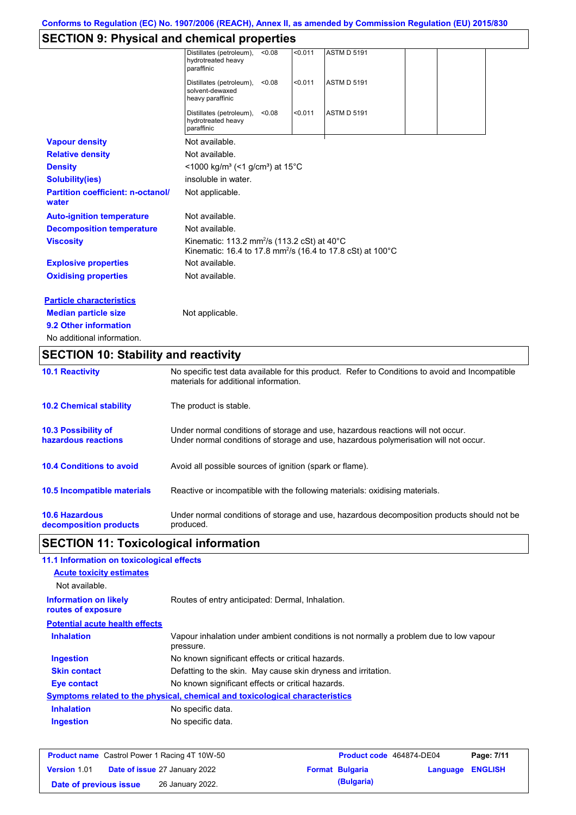# **SECTION 9: Physical and chemical properties**

| <b>10.2 Chemical stability</b>                    | The product is stable.                                                                                                                   |         |                    |  |  |
|---------------------------------------------------|------------------------------------------------------------------------------------------------------------------------------------------|---------|--------------------|--|--|
| <b>10.1 Reactivity</b>                            | No specific test data available for this product. Refer to Conditions to avoid and Incompatible<br>materials for additional information. |         |                    |  |  |
| <b>SECTION 10: Stability and reactivity</b>       |                                                                                                                                          |         |                    |  |  |
| No additional information.                        |                                                                                                                                          |         |                    |  |  |
| 9.2 Other information                             |                                                                                                                                          |         |                    |  |  |
| <b>Median particle size</b>                       | Not applicable.                                                                                                                          |         |                    |  |  |
| <b>Particle characteristics</b>                   |                                                                                                                                          |         |                    |  |  |
| <b>Oxidising properties</b>                       | Not available.                                                                                                                           |         |                    |  |  |
| <b>Explosive properties</b>                       | Not available.                                                                                                                           |         |                    |  |  |
| <b>Viscosity</b>                                  | Kinematic: 113.2 mm <sup>2</sup> /s (113.2 cSt) at 40°C<br>Kinematic: 16.4 to 17.8 mm <sup>2</sup> /s (16.4 to 17.8 cSt) at 100°C        |         |                    |  |  |
| <b>Decomposition temperature</b>                  | Not available.                                                                                                                           |         |                    |  |  |
| <b>Auto-ignition temperature</b>                  | Not available.                                                                                                                           |         |                    |  |  |
| <b>Partition coefficient: n-octanol/</b><br>water | Not applicable.                                                                                                                          |         |                    |  |  |
| <b>Solubility(ies)</b>                            | insoluble in water.                                                                                                                      |         |                    |  |  |
| <b>Density</b>                                    | <1000 kg/m <sup>3</sup> (<1 g/cm <sup>3</sup> ) at 15 <sup>°</sup> C                                                                     |         |                    |  |  |
| <b>Relative density</b>                           | Not available.                                                                                                                           |         |                    |  |  |
| <b>Vapour density</b>                             | Not available.                                                                                                                           |         |                    |  |  |
|                                                   | Distillates (petroleum),<br>< 0.08<br>hydrotreated heavy<br>paraffinic                                                                   | < 0.011 | <b>ASTM D 5191</b> |  |  |
|                                                   | Distillates (petroleum),<br>< 0.08<br>solvent-dewaxed<br>heavy paraffinic                                                                | < 0.011 | <b>ASTM D 5191</b> |  |  |
|                                                   | Distillates (petroleum),<br>< 0.08<br>hydrotreated heavy<br>paraffinic                                                                   | < 0.011 | <b>ASTM D 5191</b> |  |  |

| <b>10.3 Possibility of</b>      | Under normal conditions of storage and use, hazardous reactions will not occur.            |
|---------------------------------|--------------------------------------------------------------------------------------------|
| hazardous reactions             | Under normal conditions of storage and use, hazardous polymerisation will not occur.       |
| <b>10.4 Conditions to avoid</b> | Avoid all possible sources of ignition (spark or flame).                                   |
| 10.5 Incompatible materials     | Reactive or incompatible with the following materials: oxidising materials.                |
| <b>10.6 Hazardous</b>           | Under normal conditions of storage and use, hazardous decomposition products should not be |
| decomposition products          | produced.                                                                                  |

# **SECTION 11: Toxicological information**

| 11.1 Information on toxicological effects          |                                                                                                     |
|----------------------------------------------------|-----------------------------------------------------------------------------------------------------|
| <b>Acute toxicity estimates</b>                    |                                                                                                     |
| Not available.                                     |                                                                                                     |
| <b>Information on likely</b><br>routes of exposure | Routes of entry anticipated: Dermal, Inhalation.                                                    |
| <b>Potential acute health effects</b>              |                                                                                                     |
| <b>Inhalation</b>                                  | Vapour inhalation under ambient conditions is not normally a problem due to low vapour<br>pressure. |
| <b>Ingestion</b>                                   | No known significant effects or critical hazards.                                                   |
| <b>Skin contact</b>                                | Defatting to the skin. May cause skin dryness and irritation.                                       |
| Eye contact                                        | No known significant effects or critical hazards.                                                   |
|                                                    | Symptoms related to the physical, chemical and toxicological characteristics                        |
| <b>Inhalation</b>                                  | No specific data.                                                                                   |
| <b>Ingestion</b>                                   | No specific data.                                                                                   |

| <b>Product name</b> Castrol Power 1 Racing 4T 10W-50 |  |                                      | Product code 464874-DE04 | Page: 7/11             |                         |  |
|------------------------------------------------------|--|--------------------------------------|--------------------------|------------------------|-------------------------|--|
| <b>Version 1.01</b>                                  |  | <b>Date of issue 27 January 2022</b> |                          | <b>Format Bulgaria</b> | <b>Language ENGLISH</b> |  |
| Date of previous issue                               |  | 26 January 2022.                     |                          | (Bulgaria)             |                         |  |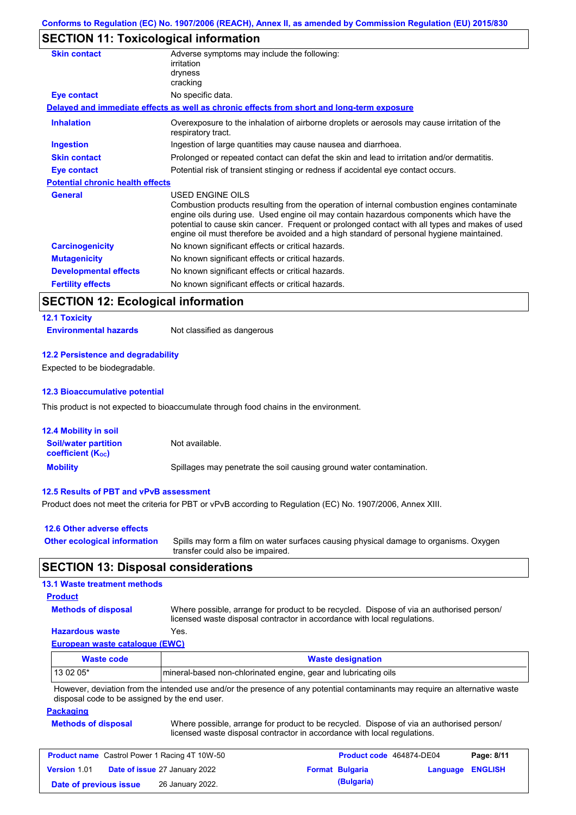# **SECTION 11: Toxicological information**

| <b>Skin contact</b>                     | Adverse symptoms may include the following:<br>irritation<br>dryness<br>cracking                                                                                                                                                                                                                                                                                                                         |
|-----------------------------------------|----------------------------------------------------------------------------------------------------------------------------------------------------------------------------------------------------------------------------------------------------------------------------------------------------------------------------------------------------------------------------------------------------------|
| <b>Eye contact</b>                      | No specific data.                                                                                                                                                                                                                                                                                                                                                                                        |
|                                         | Delayed and immediate effects as well as chronic effects from short and long-term exposure                                                                                                                                                                                                                                                                                                               |
| <b>Inhalation</b>                       | Overexposure to the inhalation of airborne droplets or aerosols may cause irritation of the<br>respiratory tract.                                                                                                                                                                                                                                                                                        |
| <b>Ingestion</b>                        | Ingestion of large quantities may cause nausea and diarrhoea.                                                                                                                                                                                                                                                                                                                                            |
| <b>Skin contact</b>                     | Prolonged or repeated contact can defat the skin and lead to irritation and/or dermatitis.                                                                                                                                                                                                                                                                                                               |
| Eye contact                             | Potential risk of transient stinging or redness if accidental eye contact occurs.                                                                                                                                                                                                                                                                                                                        |
| <b>Potential chronic health effects</b> |                                                                                                                                                                                                                                                                                                                                                                                                          |
| <b>General</b>                          | USED ENGINE OILS<br>Combustion products resulting from the operation of internal combustion engines contaminate<br>engine oils during use. Used engine oil may contain hazardous components which have the<br>potential to cause skin cancer. Frequent or prolonged contact with all types and makes of used<br>engine oil must therefore be avoided and a high standard of personal hygiene maintained. |
| <b>Carcinogenicity</b>                  | No known significant effects or critical hazards.                                                                                                                                                                                                                                                                                                                                                        |
| <b>Mutagenicity</b>                     | No known significant effects or critical hazards.                                                                                                                                                                                                                                                                                                                                                        |
| <b>Developmental effects</b>            | No known significant effects or critical hazards.                                                                                                                                                                                                                                                                                                                                                        |
| <b>Fertility effects</b>                | No known significant effects or critical hazards.                                                                                                                                                                                                                                                                                                                                                        |

### **SECTION 12: Ecological information**

# **12.1 Toxicity**

**Environmental hazards** Not classified as dangerous

#### **12.2 Persistence and degradability**

Expected to be biodegradable.

#### **12.3 Bioaccumulative potential**

This product is not expected to bioaccumulate through food chains in the environment.

| <b>12.4 Mobility in soil</b>                                         |                                                                      |
|----------------------------------------------------------------------|----------------------------------------------------------------------|
| <b>Soil/water partition</b><br><b>coefficient</b> (K <sub>oc</sub> ) | Not available.                                                       |
| <b>Mobility</b>                                                      | Spillages may penetrate the soil causing ground water contamination. |

#### **12.5 Results of PBT and vPvB assessment**

Product does not meet the criteria for PBT or vPvB according to Regulation (EC) No. 1907/2006, Annex XIII.

| 12.6 Other adverse effects          |                                                                                                                           |
|-------------------------------------|---------------------------------------------------------------------------------------------------------------------------|
| <b>Other ecological information</b> | Spills may form a film on water surfaces causing physical damage to organisms. Oxygen<br>transfer could also be impaired. |

### **SECTION 13: Disposal considerations**

#### **13.1 Waste treatment methods**

#### **Product**

**Methods of disposal**

Where possible, arrange for product to be recycled. Dispose of via an authorised person/ licensed waste disposal contractor in accordance with local regulations.

### **Hazardous waste** Yes.

**European waste catalogue (EWC)**

| <b>Waste code</b>                                                                                                           | <b>Waste designation</b>                                        |  |  |
|-----------------------------------------------------------------------------------------------------------------------------|-----------------------------------------------------------------|--|--|
| $130205*$                                                                                                                   | mineral-based non-chlorinated engine, gear and lubricating oils |  |  |
| However, deviation from the intended use and/or the presence of any potential contaminants may require an alternative waste |                                                                 |  |  |

However, deviation from the intended use and/or the presence of any potential contaminants may require an alternative waste disposal code to be assigned by the end user.

#### **Packaging**

| <b>Methods of disposal</b> | Where possible, arrange for product to be recycled. Dispose of via an authorised person/ |
|----------------------------|------------------------------------------------------------------------------------------|
|                            | licensed waste disposal contractor in accordance with local regulations.                 |

|                        | <b>Product name</b> Castrol Power 1 Racing 4T 10W-50 | <b>Product code</b> 464874-DE04 |                         | Page: 8/11 |
|------------------------|------------------------------------------------------|---------------------------------|-------------------------|------------|
| <b>Version 1.01</b>    | <b>Date of issue 27 January 2022</b>                 | <b>Format Bulgaria</b>          | <b>Language ENGLISH</b> |            |
| Date of previous issue | 26 January 2022.                                     | (Bulgaria)                      |                         |            |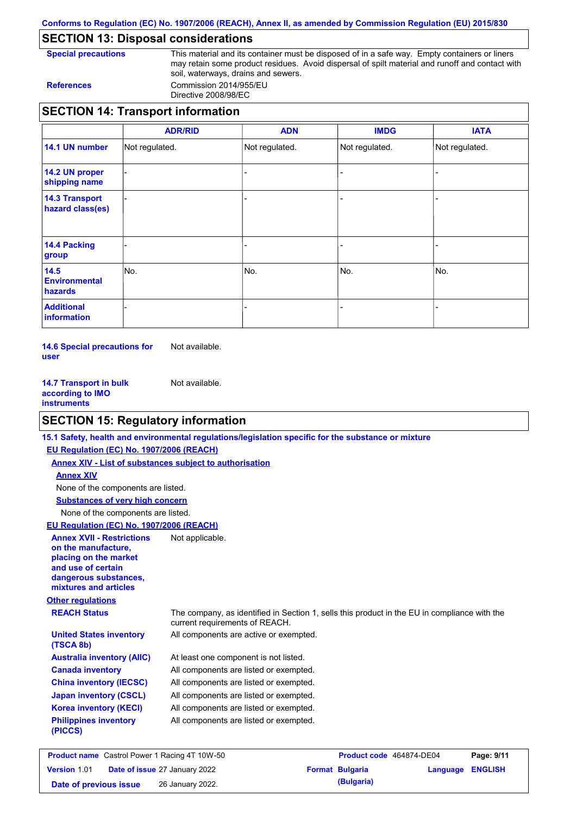**Conforms to Regulation (EC) No. 1907/2006 (REACH), Annex II, as amended by Commission Regulation (EU) 2015/830**

### **SECTION 13: Disposal considerations**

**Special precautions** This material and its container must be disposed of in a safe way. Empty containers or liners may retain some product residues. Avoid dispersal of spilt material and runoff and contact with soil, waterways, drains and sewers. **References** Commission 2014/955/EU

Directive 2008/98/EC

| <b>SECTION 14: Transport information</b>       |                |                |                |                |  |
|------------------------------------------------|----------------|----------------|----------------|----------------|--|
|                                                | <b>ADR/RID</b> | <b>ADN</b>     | <b>IMDG</b>    | <b>IATA</b>    |  |
| 14.1 UN number                                 | Not regulated. | Not regulated. | Not regulated. | Not regulated. |  |
| 14.2 UN proper<br>shipping name                |                |                |                |                |  |
| <b>14.3 Transport</b><br>hazard class(es)      |                |                |                |                |  |
| 14.4 Packing<br>group                          |                |                |                |                |  |
| 14.5<br><b>Environmental</b><br><b>hazards</b> | No.            | No.            | No.            | No.            |  |
| <b>Additional</b><br><b>information</b>        |                |                |                |                |  |

**14.6 Special precautions for user** Not available.

**14.7 Transport in bulk according to IMO instruments** Not available.

### **SECTION 15: Regulatory information**

**Other regulations REACH Status** The company, as identified in Section 1, sells this product in the EU in compliance with the current requirements of REACH. **15.1 Safety, health and environmental regulations/legislation specific for the substance or mixture EU Regulation (EC) No. 1907/2006 (REACH) Annex XIV - List of substances subject to authorisation Substances of very high concern** None of the components are listed. At least one component is not listed. All components are listed or exempted. All components are listed or exempted. All components are listed or exempted. All components are active or exempted. All components are listed or exempted. All components are listed or exempted. **United States inventory (TSCA 8b) Australia inventory (AIIC) Canada inventory China inventory (IECSC) Japan inventory (CSCL) Korea inventory (KECI) Philippines inventory (PICCS)** None of the components are listed. **Annex XIV EU Regulation (EC) No. 1907/2006 (REACH) Annex XVII - Restrictions on the manufacture, placing on the market and use of certain dangerous substances, mixtures and articles** Not applicable.

|                        | <b>Product name</b> Castrol Power 1 Racing 4T 10W-50 | Product code 464874-DE04 |                  | Page: 9/11 |
|------------------------|------------------------------------------------------|--------------------------|------------------|------------|
| <b>Version 1.01</b>    | <b>Date of issue 27 January 2022</b>                 | <b>Format Bulgaria</b>   | Language ENGLISH |            |
| Date of previous issue | 26 January 2022.                                     | (Bulgaria)               |                  |            |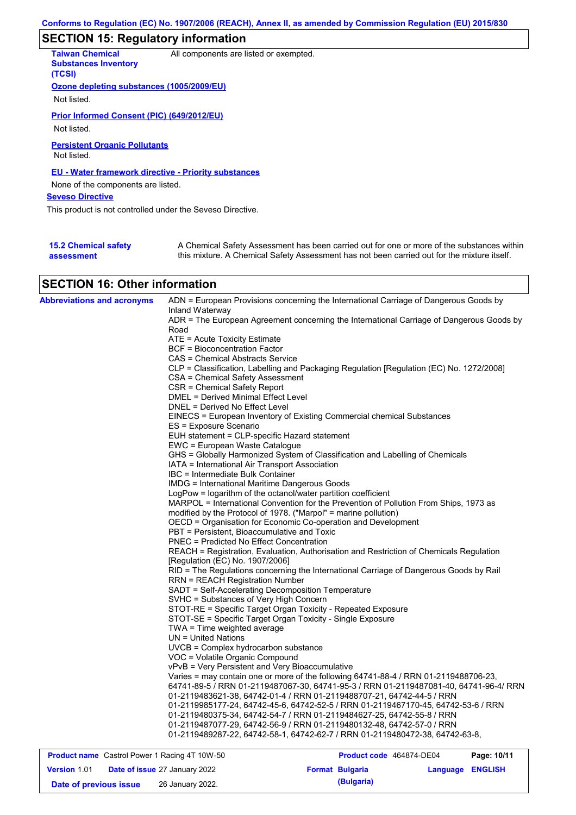# **SECTION 15: Regulatory information**

| <b>Taiwan Chemical</b><br><b>Substances Inventory</b><br>(TCSI) | All components are listed or exempted.                                                                                                                                                    |
|-----------------------------------------------------------------|-------------------------------------------------------------------------------------------------------------------------------------------------------------------------------------------|
| Ozone depleting substances (1005/2009/EU)                       |                                                                                                                                                                                           |
| Not listed.                                                     |                                                                                                                                                                                           |
| Prior Informed Consent (PIC) (649/2012/EU)                      |                                                                                                                                                                                           |
| Not listed.                                                     |                                                                                                                                                                                           |
| <b>Persistent Organic Pollutants</b><br>Not listed.             |                                                                                                                                                                                           |
| EU - Water framework directive - Priority substances            |                                                                                                                                                                                           |
| None of the components are listed.                              |                                                                                                                                                                                           |
| <b>Seveso Directive</b>                                         |                                                                                                                                                                                           |
| This product is not controlled under the Seveso Directive.      |                                                                                                                                                                                           |
|                                                                 |                                                                                                                                                                                           |
| <b>15.2 Chemical safety</b><br>assessment                       | A Chemical Safety Assessment has been carried out for one or more of the substances within<br>this mixture. A Chemical Safety Assessment has not been carried out for the mixture itself. |

# **SECTION 16: Other information**

| <b>Abbreviations and acronyms</b> | ADN = European Provisions concerning the International Carriage of Dangerous Goods by<br>Inland Waterway                         |
|-----------------------------------|----------------------------------------------------------------------------------------------------------------------------------|
|                                   | ADR = The European Agreement concerning the International Carriage of Dangerous Goods by                                         |
|                                   | Road                                                                                                                             |
|                                   | ATE = Acute Toxicity Estimate                                                                                                    |
|                                   | <b>BCF</b> = Bioconcentration Factor                                                                                             |
|                                   | CAS = Chemical Abstracts Service                                                                                                 |
|                                   | CLP = Classification, Labelling and Packaging Regulation [Regulation (EC) No. 1272/2008]                                         |
|                                   | CSA = Chemical Safety Assessment                                                                                                 |
|                                   | <b>CSR = Chemical Safety Report</b>                                                                                              |
|                                   | <b>DMEL = Derived Minimal Effect Level</b>                                                                                       |
|                                   | DNEL = Derived No Effect Level                                                                                                   |
|                                   | EINECS = European Inventory of Existing Commercial chemical Substances                                                           |
|                                   | ES = Exposure Scenario                                                                                                           |
|                                   | EUH statement = CLP-specific Hazard statement                                                                                    |
|                                   | EWC = European Waste Catalogue                                                                                                   |
|                                   | GHS = Globally Harmonized System of Classification and Labelling of Chemicals                                                    |
|                                   | IATA = International Air Transport Association                                                                                   |
|                                   | IBC = Intermediate Bulk Container                                                                                                |
|                                   | <b>IMDG</b> = International Maritime Dangerous Goods                                                                             |
|                                   | LogPow = logarithm of the octanol/water partition coefficient                                                                    |
|                                   | MARPOL = International Convention for the Prevention of Pollution From Ships, 1973 as                                            |
|                                   | modified by the Protocol of 1978. ("Marpol" = marine pollution)<br>OECD = Organisation for Economic Co-operation and Development |
|                                   |                                                                                                                                  |
|                                   | PBT = Persistent, Bioaccumulative and Toxic<br><b>PNEC = Predicted No Effect Concentration</b>                                   |
|                                   | REACH = Registration, Evaluation, Authorisation and Restriction of Chemicals Regulation                                          |
|                                   | [Regulation (EC) No. 1907/2006]                                                                                                  |
|                                   | RID = The Regulations concerning the International Carriage of Dangerous Goods by Rail                                           |
|                                   | <b>RRN = REACH Registration Number</b>                                                                                           |
|                                   | SADT = Self-Accelerating Decomposition Temperature                                                                               |
|                                   | SVHC = Substances of Very High Concern                                                                                           |
|                                   | STOT-RE = Specific Target Organ Toxicity - Repeated Exposure                                                                     |
|                                   | STOT-SE = Specific Target Organ Toxicity - Single Exposure                                                                       |
|                                   | TWA = Time weighted average                                                                                                      |
|                                   | $UN = United Nations$                                                                                                            |
|                                   | UVCB = Complex hydrocarbon substance                                                                                             |
|                                   | VOC = Volatile Organic Compound                                                                                                  |
|                                   | vPvB = Very Persistent and Very Bioaccumulative                                                                                  |
|                                   | Varies = may contain one or more of the following 64741-88-4 / RRN 01-2119488706-23,                                             |
|                                   | 64741-89-5 / RRN 01-2119487067-30, 64741-95-3 / RRN 01-2119487081-40, 64741-96-4/ RRN                                            |
|                                   | 01-2119483621-38, 64742-01-4 / RRN 01-2119488707-21, 64742-44-5 / RRN                                                            |
|                                   | 01-2119985177-24, 64742-45-6, 64742-52-5 / RRN 01-2119467170-45, 64742-53-6 / RRN                                                |
|                                   | 01-2119480375-34, 64742-54-7 / RRN 01-2119484627-25, 64742-55-8 / RRN                                                            |
|                                   | 01-2119487077-29, 64742-56-9 / RRN 01-2119480132-48, 64742-57-0 / RRN                                                            |
|                                   | 01-2119489287-22, 64742-58-1, 64742-62-7 / RRN 01-2119480472-38, 64742-63-8,                                                     |
|                                   |                                                                                                                                  |

|                        | <b>Product name</b> Castrol Power 1 Racing 4T 10W-50 | Product code 464874-DE04 |                         | Page: 10/11 |
|------------------------|------------------------------------------------------|--------------------------|-------------------------|-------------|
| <b>Version 1.01</b>    | <b>Date of issue 27 January 2022</b>                 | <b>Format Bulgaria</b>   | <b>Language ENGLISH</b> |             |
| Date of previous issue | 26 January 2022.                                     | (Bulgaria)               |                         |             |